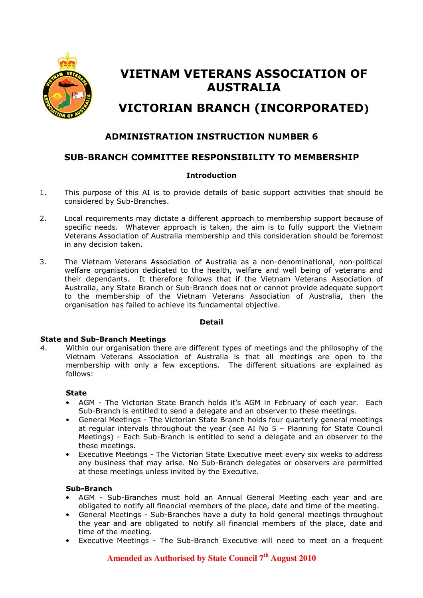

# VIETNAM VETERANS ASSOCIATION OF AUSTRALIA VICTORIAN BRANCH (INCORPORATED)

# ADMINISTRATION INSTRUCTION NUMBER 6

# SUB-BRANCH COMMITTEE RESPONSIBILITY TO MEMBERSHIP

## **Introduction**

- 1. This purpose of this AI is to provide details of basic support activities that should be considered by Sub-Branches.
- 2. Local requirements may dictate a different approach to membership support because of specific needs. Whatever approach is taken, the aim is to fully support the Vietnam Veterans Association of Australia membership and this consideration should be foremost in any decision taken.
- 3. The Vietnam Veterans Association of Australia as a non-denominational, non-political welfare organisation dedicated to the health, welfare and well being of veterans and their dependants. It therefore follows that if the Vietnam Veterans Association of Australia, any State Branch or Sub-Branch does not or cannot provide adequate support to the membership of the Vietnam Veterans Association of Australia, then the organisation has failed to achieve its fundamental objective.

## Detail

## State and Sub-Branch Meetings

4. Within our organisation there are different types of meetings and the philosophy of the Vietnam Veterans Association of Australia is that all meetings are open to the membership with only a few exceptions. The different situations are explained as follows:

## State

- AGM The Victorian State Branch holds it's AGM in February of each year. Each Sub-Branch is entitled to send a delegate and an observer to these meetings.
- General Meetings The Victorian State Branch holds four quarterly general meetings at regular intervals throughout the year (see AI No 5 – Planning for State Council Meetings) - Each Sub-Branch is entitled to send a delegate and an observer to the these meetings.
- Executive Meetings The Victorian State Executive meet every six weeks to address any business that may arise. No Sub-Branch delegates or observers are permitted at these meetings unless invited by the Executive.

## Sub-Branch

- AGM Sub-Branches must hold an Annual General Meeting each year and are obligated to notify all financial members of the place, date and time of the meeting.
- General Meetings Sub-Branches have a duty to hold general meetings throughout the year and are obligated to notify all financial members of the place, date and time of the meeting.
- Executive Meetings The Sub-Branch Executive will need to meet on a frequent

# **Amended as Authorised by State Council 7th August 2010**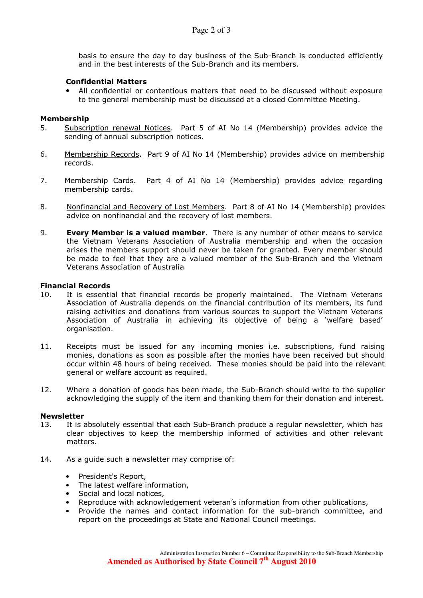basis to ensure the day to day business of the Sub-Branch is conducted efficiently and in the best interests of the Sub-Branch and its members.

## Confidential Matters

• All confidential or contentious matters that need to be discussed without exposure to the general membership must be discussed at a closed Committee Meeting.

## Membership

- 5. Subscription renewal Notices. Part 5 of AI No 14 (Membership) provides advice the sending of annual subscription notices.
- 6. Membership Records. Part 9 of AI No 14 (Membership) provides advice on membership records.
- 7. Membership Cards. Part 4 of AI No 14 (Membership) provides advice regarding membership cards.
- 8. Nonfinancial and Recovery of Lost Members. Part 8 of AI No 14 (Membership) provides advice on nonfinancial and the recovery of lost members.
- 9. **Every Member is a valued member**. There is any number of other means to service the Vietnam Veterans Association of Australia membership and when the occasion arises the members support should never be taken for granted. Every member should be made to feel that they are a valued member of the Sub-Branch and the Vietnam Veterans Association of Australia

## Financial Records

- 10. It is essential that financial records be properly maintained. The Vietnam Veterans Association of Australia depends on the financial contribution of its members, its fund raising activities and donations from various sources to support the Vietnam Veterans Association of Australia in achieving its objective of being a 'welfare based' organisation.
- 11. Receipts must be issued for any incoming monies i.e. subscriptions, fund raising monies, donations as soon as possible after the monies have been received but should occur within 48 hours of being received. These monies should be paid into the relevant general or welfare account as required.
- 12. Where a donation of goods has been made, the Sub-Branch should write to the supplier acknowledging the supply of the item and thanking them for their donation and interest.

## Newsletter

- 13. It is absolutely essential that each Sub-Branch produce a regular newsletter, which has clear objectives to keep the membership informed of activities and other relevant matters.
- 14. As a guide such a newsletter may comprise of:
	- President's Report,
	- The latest welfare information,
	- Social and local notices,
	- Reproduce with acknowledgement veteran's information from other publications,
	- Provide the names and contact information for the sub-branch committee, and report on the proceedings at State and National Council meetings.